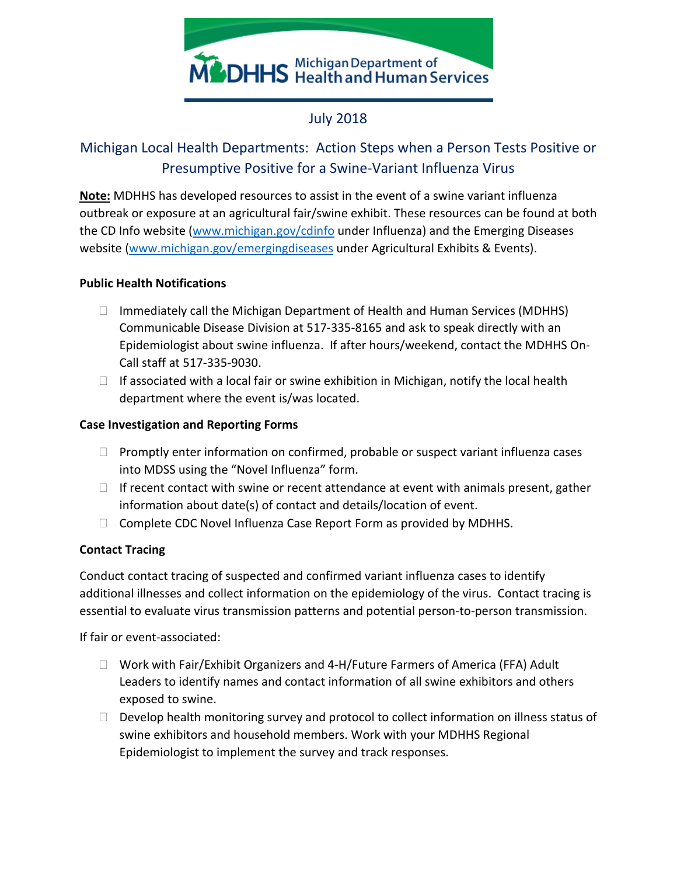

# July 2018

# Michigan Local Health Departments: Action Steps when a Person Tests Positive or Presumptive Positive for a Swine-Variant Influenza Virus

**Note:** MDHHS has developed resources to assist in the event of a swine variant influenza outbreak or exposure at an agricultural fair/swine exhibit. These resources can be found at both the CD Info website [\(www.michigan.gov/cdinfo](http://www.michigan.gov/cdinfo) under Influenza) and the Emerging Diseases website [\(www.michigan.gov/emergingdiseases](http://www.michigan.gov/emergingdiseases) under Agricultural Exhibits & Events).

#### **Public Health Notifications**

- $\Box$  Immediately call the Michigan Department of Health and Human Services (MDHHS) Communicable Disease Division at 517-335-8165 and ask to speak directly with an Epidemiologist about swine influenza. If after hours/weekend, contact the MDHHS On-Call staff at 517-335-9030.
- $\Box$  If associated with a local fair or swine exhibition in Michigan, notify the local health department where the event is/was located.

#### **Case Investigation and Reporting Forms**

- $\Box$  Promptly enter information on confirmed, probable or suspect variant influenza cases into MDSS using the "Novel Influenza" form.
- $\Box$  If recent contact with swine or recent attendance at event with animals present, gather information about date(s) of contact and details/location of event.
- $\Box$  Complete CDC Novel Influenza Case Report Form as provided by MDHHS.

## **Contact Tracing**

Conduct contact tracing of suspected and confirmed variant influenza cases to identify additional illnesses and collect information on the epidemiology of the virus. Contact tracing is essential to evaluate virus transmission patterns and potential person-to-person transmission.

If fair or event-associated:

- $\Box$  Work with Fair/Exhibit Organizers and 4-H/Future Farmers of America (FFA) Adult Leaders to identify names and contact information of all swine exhibitors and others exposed to swine.
- $\Box$  Develop health monitoring survey and protocol to collect information on illness status of swine exhibitors and household members. Work with your MDHHS Regional Epidemiologist to implement the survey and track responses.